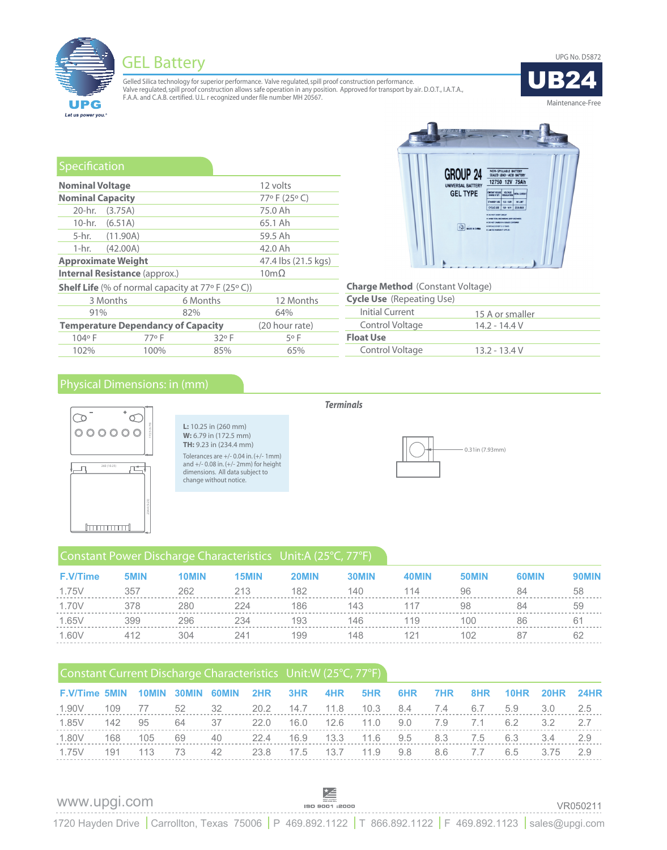GEL Battery UPG No. D5872



Gelled Silica technology for superior performance. Valve regulated, spill proof construction performance. Valve regulated, spill proof construction allows safe operation in any position. Approved for transport by air. D.O.T., I.A.T.A.,<br>F.A.A. and C.A.B. certified. U.L. r ecognized under file number MH 20567.



| Specification           |                                                             |          |      |                     |  |  |
|-------------------------|-------------------------------------------------------------|----------|------|---------------------|--|--|
| <b>Nominal Voltage</b>  |                                                             |          |      | 12 volts            |  |  |
| <b>Nominal Capacity</b> |                                                             |          |      | 77°F (25°C)         |  |  |
| 20-hr.                  | (3.75A)                                                     |          |      | 75.0 Ah             |  |  |
|                         | 10-hr. (6.51A)                                              |          |      | 65.1 Ah             |  |  |
|                         | 5-hr. (11.90A)                                              |          |      | 59.5 Ah             |  |  |
| 1-hr. –                 | (42.00A)<br>42.0 Ah                                         |          |      |                     |  |  |
|                         | <b>Approximate Weight</b>                                   |          |      | 47.4 lbs (21.5 kgs) |  |  |
|                         | <b>Internal Resistance (approx.)</b>                        |          |      | $10m\Omega$         |  |  |
|                         | <b>Shelf Life</b> (% of normal capacity at $77°$ F (25° C)) |          |      |                     |  |  |
|                         | 3 Months                                                    | 6 Months |      | 12 Months           |  |  |
| 91%                     |                                                             | 82%      |      | 64%                 |  |  |
|                         | <b>Temperature Dependancy of Capacity</b>                   |          |      | (20 hour rate)      |  |  |
| 104°F                   | 77°F                                                        |          | 32°F | 5°F                 |  |  |
| 102%                    | 100%                                                        |          | 85%  | 65%                 |  |  |

## **Charge Method**  (Constant Voltage)

| <b>Cycle Use</b> (Repeating Use) |                 |
|----------------------------------|-----------------|
| Initial Current                  | 15 A or smaller |
| Control Voltage                  | 14.2 - 14.4 V   |
| <b>Float Use</b>                 |                 |
| Control Voltage                  | $13.2 - 13.4 V$ |
|                                  |                 |

**GROUP 24** 

UNIVERSAL BATTERY **GEL TYPE** 

 $\left(\begin{matrix} 0 & 0 \\ 0 & 0 \end{matrix}\right)$  which is a

NON-SPILLABLE BATTERY<br>SEALED LEAD-ACID BATTERY 12750 12V 75Ah

CONSTANT VOLTAGE STANDBY USE 135-133V NO LIMIT<br>CYCLIC USE 138-141V 22 SAMAX

## Physical Dimensions: in (mm)



## *Terminals*



## Constant Power Discharge Characteristics Unit:A (25°C, 77°F)

| $\circ \circ \circ \circ \circ$<br>260 (10.25)<br><b>Immunities</b> |      | <b>L:</b> 10.25 in $(260 \text{ mm})$<br>W: 6.79 in (172.5 mm)<br><b>TH:</b> 9.23 in (234.4 mm)<br>change without notice. | Tolerances are $+/- 0.04$ in. $(+/- 1$ mm)<br>and +/- 0.08 in. (+/- 2mm) for height<br>dimensions. All data subject to |       |       |       | 0.31in (7.93mm) |              |       |
|---------------------------------------------------------------------|------|---------------------------------------------------------------------------------------------------------------------------|------------------------------------------------------------------------------------------------------------------------|-------|-------|-------|-----------------|--------------|-------|
|                                                                     |      |                                                                                                                           | Constant Power Discharge Characteristics Unit:A (25°C, 77°F)                                                           |       |       |       |                 |              |       |
| <b>F.V/Time</b>                                                     | 5MIN | <b>10MIN</b>                                                                                                              | 15MIN                                                                                                                  | 20MIN | 30MIN | 40MIN | 50MIN           | <b>60MIN</b> | 90MIN |
| 1.75V                                                               | 357  | 262                                                                                                                       | 213                                                                                                                    | 182   | 140   | 114   | 96              | 84           | 58    |
| 1.70V                                                               | 378  | 280                                                                                                                       | 224                                                                                                                    | 186   | 143   | 117   | 98              | 84           | 59    |
| 1.65V                                                               | 399  | 296                                                                                                                       | 234                                                                                                                    | 193   | 146   | 119   | 100             | 86           | 61    |
| 1.60V                                                               | 412  | 304                                                                                                                       | 241                                                                                                                    | 199   | 148   | 121   | 102             | 87           | 62    |
|                                                                     |      |                                                                                                                           | Constant Current Discharge Characteristics Unit: W (25°C, 77°F)                                                        |       |       |       |                 |              |       |

| F.V/Time 5MIN 10MIN 30MIN 60MIN 2HR 3HR 4HR 5HR 6HR 7HR 8HR 10HR 20HR 24HR |  |  |  |  |  |  |  |
|----------------------------------------------------------------------------|--|--|--|--|--|--|--|
| 1.90V 109 77 52 32 20.2 14.7 11.8 10.3 8.4 7.4 6.7 5.9 3.0 2.5             |  |  |  |  |  |  |  |
| 1.85V 142 95 64 37 22.0 16.0 12.6 11.0 9.0 7.9 7.1 6.2 3.2 2.7             |  |  |  |  |  |  |  |
| 1.80V 168 105 69 40 22.4 16.9 13.3 11.6 9.5 8.3 7.5 6.3 3.4 2.9            |  |  |  |  |  |  |  |
| 1.75V 191 113 73 42 23.8 17.5 13.7 11.9 9.8 8.6 7.7 6.5 3.75 2.9           |  |  |  |  |  |  |  |

## www.upgi.com

 $\begin{picture}(120,115) \put(0,0){\line(1,0){155}} \put(15,0){\line(1,0){155}} \put(15,0){\line(1,0){155}} \put(15,0){\line(1,0){155}} \put(15,0){\line(1,0){155}} \put(15,0){\line(1,0){155}} \put(15,0){\line(1,0){155}} \put(15,0){\line(1,0){155}} \put(15,0){\line(1,0){155}} \put(15,0){\line(1,0){155}} \put(15,0){\line(1,0){155$ 

VR050211